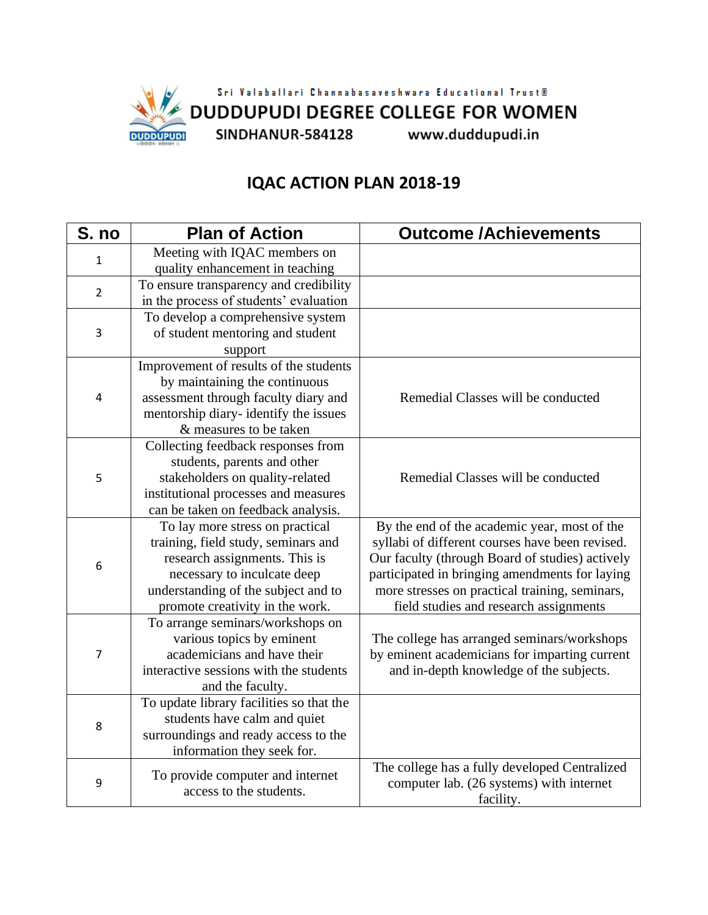

## **IQAC ACTION PLAN 2018-19**

| S. no          | <b>Plan of Action</b>                    | <b>Outcome /Achievements</b>                    |
|----------------|------------------------------------------|-------------------------------------------------|
| 1              | Meeting with IQAC members on             |                                                 |
|                | quality enhancement in teaching          |                                                 |
| 2              | To ensure transparency and credibility   |                                                 |
|                | in the process of students' evaluation   |                                                 |
| 3              | To develop a comprehensive system        |                                                 |
|                | of student mentoring and student         |                                                 |
|                | support                                  |                                                 |
| 4              | Improvement of results of the students   |                                                 |
|                | by maintaining the continuous            |                                                 |
|                | assessment through faculty diary and     | Remedial Classes will be conducted              |
|                | mentorship diary-identify the issues     |                                                 |
|                | & measures to be taken                   |                                                 |
| 5              | Collecting feedback responses from       |                                                 |
|                | students, parents and other              |                                                 |
|                | stakeholders on quality-related          | Remedial Classes will be conducted              |
|                | institutional processes and measures     |                                                 |
|                | can be taken on feedback analysis.       |                                                 |
| 6              | To lay more stress on practical          | By the end of the academic year, most of the    |
|                | training, field study, seminars and      | syllabi of different courses have been revised. |
|                | research assignments. This is            | Our faculty (through Board of studies) actively |
|                | necessary to inculcate deep              | participated in bringing amendments for laying  |
|                | understanding of the subject and to      | more stresses on practical training, seminars,  |
|                | promote creativity in the work.          | field studies and research assignments          |
| $\overline{7}$ | To arrange seminars/workshops on         |                                                 |
|                | various topics by eminent                | The college has arranged seminars/workshops     |
|                | academicians and have their              | by eminent academicians for imparting current   |
|                | interactive sessions with the students   | and in-depth knowledge of the subjects.         |
|                | and the faculty.                         |                                                 |
| 8              | To update library facilities so that the |                                                 |
|                | students have calm and quiet             |                                                 |
|                | surroundings and ready access to the     |                                                 |
|                | information they seek for.               |                                                 |
| 9              | To provide computer and internet         | The college has a fully developed Centralized   |
|                | access to the students.                  | computer lab. (26 systems) with internet        |
|                |                                          | facility.                                       |